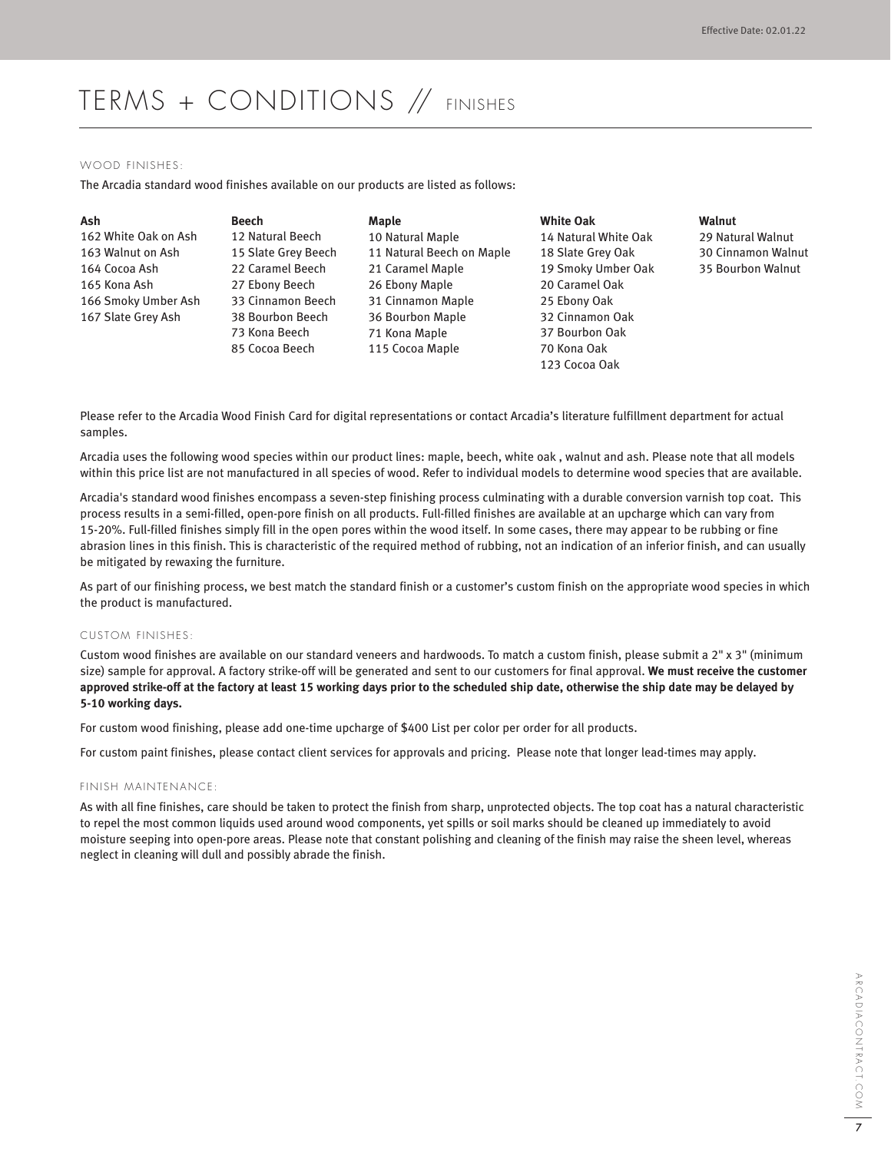# TERMS + CONDITIONS // FINISHES

#### WOOD FINISHES:

The Arcadia standard wood finishes available on our products are listed as follows:

| Ash                  | Beech               | Maple                     | <b>White Oak</b>     | Walnut                    |
|----------------------|---------------------|---------------------------|----------------------|---------------------------|
| 162 White Oak on Ash | 12 Natural Beech    | 10 Natural Maple          | 14 Natural White Oak | 29 Natural Walnut         |
| 163 Walnut on Ash    | 15 Slate Grey Beech | 11 Natural Beech on Maple | 18 Slate Grey Oak    | <b>30 Cinnamon Walnut</b> |
| 164 Cocoa Ash        | 22 Caramel Beech    | 21 Caramel Maple          | 19 Smoky Umber Oak   | 35 Bourbon Walnut         |
| 165 Kona Ash         | 27 Ebony Beech      | 26 Ebony Maple            | 20 Caramel Oak       |                           |
| 166 Smoky Umber Ash  | 33 Cinnamon Beech   | 31 Cinnamon Maple         | 25 Ebony Oak         |                           |
| 167 Slate Grey Ash   | 38 Bourbon Beech    | 36 Bourbon Maple          | 32 Cinnamon Oak      |                           |
|                      | 73 Kona Beech       | 71 Kona Maple             | 37 Bourbon Oak       |                           |
|                      | 85 Cocoa Beech      | 115 Cocoa Maple           | 70 Kona Oak          |                           |

Please refer to the Arcadia Wood Finish Card for digital representations or contact Arcadia's literature fulfillment department for actual samples.

Arcadia uses the following wood species within our product lines: maple, beech, white oak , walnut and ash. Please note that all models within this price list are not manufactured in all species of wood. Refer to individual models to determine wood species that are available.

123 Cocoa Oak

Arcadia's standard wood finishes encompass a seven-step finishing process culminating with a durable conversion varnish top coat. This process results in a semi-filled, open-pore finish on all products. Full-filled finishes are available at an upcharge which can vary from 15-20%. Full-filled finishes simply fill in the open pores within the wood itself. In some cases, there may appear to be rubbing or fine abrasion lines in this finish. This is characteristic of the required method of rubbing, not an indication of an inferior finish, and can usually be mitigated by rewaxing the furniture.

As part of our finishing process, we best match the standard finish or a customer's custom finish on the appropriate wood species in which the product is manufactured.

## CUSTOM FINISHES:

Custom wood finishes are available on our standard veneers and hardwoods. To match a custom finish, please submit a 2" x 3" (minimum size) sample for approval. A factory strike-off will be generated and sent to our customers for final approval. **We must receive the customer approved strike-off at the factory at least 15 working days prior to the scheduled ship date, otherwise the ship date may be delayed by 5-10 working days.** 

For custom wood finishing, please add one-time upcharge of \$400 List per color per order for all products.

For custom paint finishes, please contact client services for approvals and pricing. Please note that longer lead-times may apply.

#### FINISH MAINTENANCE:

As with all fine finishes, care should be taken to protect the finish from sharp, unprotected objects. The top coat has a natural characteristic to repel the most common liquids used around wood components, yet spills or soil marks should be cleaned up immediately to avoid moisture seeping into open-pore areas. Please note that constant polishing and cleaning of the finish may raise the sheen level, whereas neglect in cleaning will dull and possibly abrade the finish.